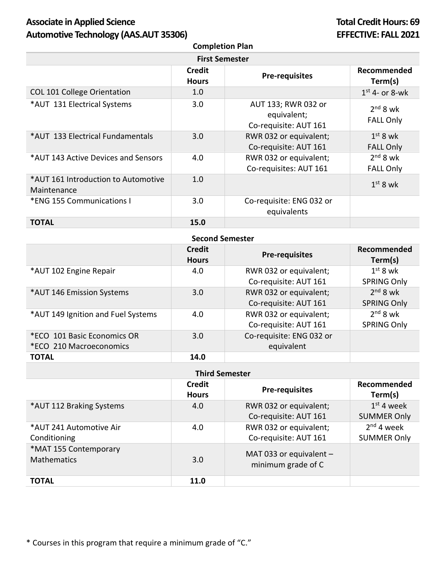## Associate in Applied Science **Total Credit Hours:** 69 **Automotive Technology (AAS.AUT 35306) EFFECTIVE: FALL 2021**

| <b>Completion Plan</b>                             |                               |                                                             |                                |
|----------------------------------------------------|-------------------------------|-------------------------------------------------------------|--------------------------------|
| <b>First Semester</b>                              |                               |                                                             |                                |
|                                                    | <b>Credit</b><br><b>Hours</b> | <b>Pre-requisites</b>                                       | Recommended<br>Term(s)         |
| <b>COL 101 College Orientation</b>                 | 1.0                           |                                                             | $1st$ 4- or 8-wk               |
| *AUT 131 Electrical Systems                        | 3.0                           | AUT 133; RWR 032 or<br>equivalent;<br>Co-requisite: AUT 161 | $2nd 8$ wk<br><b>FALL Only</b> |
| *AUT 133 Electrical Fundamentals                   | 3.0                           | RWR 032 or equivalent;<br>Co-requisite: AUT 161             | $1st 8$ wk<br><b>FALL Only</b> |
| *AUT 143 Active Devices and Sensors                | 4.0                           | RWR 032 or equivalent;<br>Co-requisites: AUT 161            | $2nd 8$ wk<br><b>FALL Only</b> |
| *AUT 161 Introduction to Automotive<br>Maintenance | 1.0                           |                                                             | $1st 8$ wk                     |
| *ENG 155 Communications I                          | 3.0                           | Co-requisite: ENG 032 or<br>equivalents                     |                                |
| <b>TOTAL</b>                                       | 15.0                          |                                                             |                                |

| <b>Second Semester</b>             |                               |                          |                        |
|------------------------------------|-------------------------------|--------------------------|------------------------|
|                                    | <b>Credit</b><br><b>Hours</b> | <b>Pre-requisites</b>    | Recommended<br>Term(s) |
| *AUT 102 Engine Repair             | 4.0                           | RWR 032 or equivalent;   | $1st 8$ wk             |
|                                    |                               | Co-requisite: AUT 161    | <b>SPRING Only</b>     |
| *AUT 146 Emission Systems          | 3.0                           | RWR 032 or equivalent;   | $2nd 8$ wk             |
|                                    |                               | Co-requisite: AUT 161    | <b>SPRING Only</b>     |
| *AUT 149 Ignition and Fuel Systems | 4.0                           | RWR 032 or equivalent;   | $2nd 8$ wk             |
|                                    |                               | Co-requisite: AUT 161    | <b>SPRING Only</b>     |
| *ECO 101 Basic Economics OR        | 3.0                           | Co-requisite: ENG 032 or |                        |
| *ECO 210 Macroeconomics            |                               | equivalent               |                        |
| <b>TOTAL</b>                       | 14.0                          |                          |                        |

| <b>Third Semester</b>                       |                               |                                                 |                                    |
|---------------------------------------------|-------------------------------|-------------------------------------------------|------------------------------------|
|                                             | <b>Credit</b><br><b>Hours</b> | <b>Pre-requisites</b>                           | Recommended<br>Term(s)             |
| *AUT 112 Braking Systems                    | 4.0                           | RWR 032 or equivalent;<br>Co-requisite: AUT 161 | $1st$ 4 week<br><b>SUMMER Only</b> |
| *AUT 241 Automotive Air<br>Conditioning     | 4.0                           | RWR 032 or equivalent;<br>Co-requisite: AUT 161 | $2nd$ 4 week<br><b>SUMMER Only</b> |
| *MAT 155 Contemporary<br><b>Mathematics</b> | 3.0                           | MAT 033 or equivalent $-$<br>minimum grade of C |                                    |
| <b>TOTAL</b>                                | 11.0                          |                                                 |                                    |

\* Courses in this program that require a minimum grade of "C."